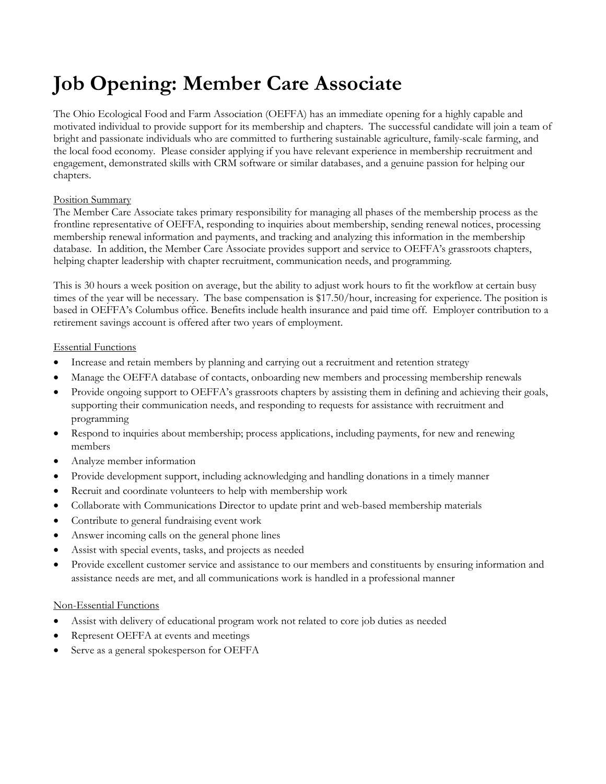# **Job Opening: Member Care Associate**

The Ohio Ecological Food and Farm Association (OEFFA) has an immediate opening for a highly capable and motivated individual to provide support for its membership and chapters. The successful candidate will join a team of bright and passionate individuals who are committed to furthering sustainable agriculture, family-scale farming, and the local food economy. Please consider applying if you have relevant experience in membership recruitment and engagement, demonstrated skills with CRM software or similar databases, and a genuine passion for helping our chapters.

## Position Summary

The Member Care Associate takes primary responsibility for managing all phases of the membership process as the frontline representative of OEFFA, responding to inquiries about membership, sending renewal notices, processing membership renewal information and payments, and tracking and analyzing this information in the membership database. In addition, the Member Care Associate provides support and service to OEFFA's grassroots chapters, helping chapter leadership with chapter recruitment, communication needs, and programming.

This is 30 hours a week position on average, but the ability to adjust work hours to fit the workflow at certain busy times of the year will be necessary. The base compensation is \$17.50/hour, increasing for experience. The position is based in OEFFA's Columbus office. Benefits include health insurance and paid time off. Employer contribution to a retirement savings account is offered after two years of employment.

### Essential Functions

- Increase and retain members by planning and carrying out a recruitment and retention strategy
- Manage the OEFFA database of contacts, onboarding new members and processing membership renewals
- Provide ongoing support to OEFFA's grassroots chapters by assisting them in defining and achieving their goals, supporting their communication needs, and responding to requests for assistance with recruitment and programming
- Respond to inquiries about membership; process applications, including payments, for new and renewing members
- Analyze member information
- Provide development support, including acknowledging and handling donations in a timely manner
- Recruit and coordinate volunteers to help with membership work
- Collaborate with Communications Director to update print and web-based membership materials
- Contribute to general fundraising event work
- Answer incoming calls on the general phone lines
- Assist with special events, tasks, and projects as needed
- Provide excellent customer service and assistance to our members and constituents by ensuring information and assistance needs are met, and all communications work is handled in a professional manner

#### Non-Essential Functions

- Assist with delivery of educational program work not related to core job duties as needed
- Represent OEFFA at events and meetings
- Serve as a general spokesperson for OEFFA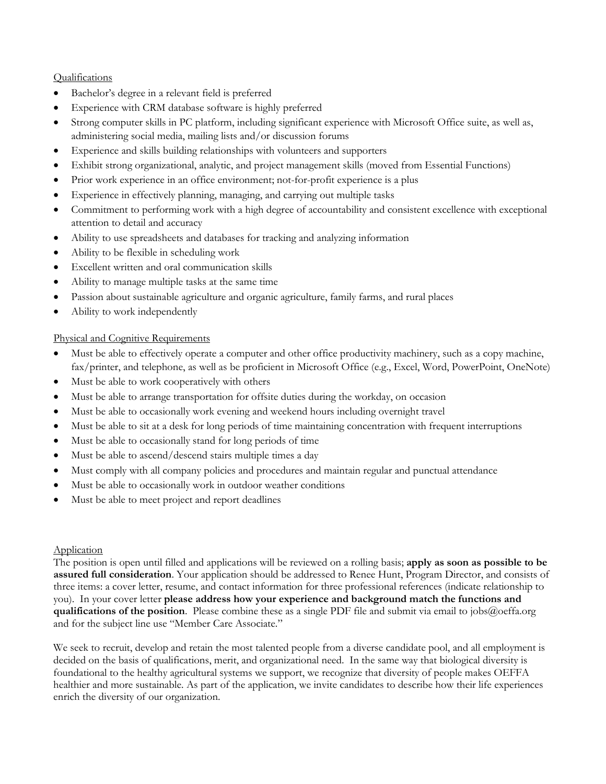#### Qualifications

- Bachelor's degree in a relevant field is preferred
- Experience with CRM database software is highly preferred
- Strong computer skills in PC platform, including significant experience with Microsoft Office suite, as well as, administering social media, mailing lists and/or discussion forums
- Experience and skills building relationships with volunteers and supporters
- Exhibit strong organizational, analytic, and project management skills (moved from Essential Functions)
- Prior work experience in an office environment; not-for-profit experience is a plus
- Experience in effectively planning, managing, and carrying out multiple tasks
- Commitment to performing work with a high degree of accountability and consistent excellence with exceptional attention to detail and accuracy
- Ability to use spreadsheets and databases for tracking and analyzing information
- Ability to be flexible in scheduling work
- Excellent written and oral communication skills
- Ability to manage multiple tasks at the same time
- Passion about sustainable agriculture and organic agriculture, family farms, and rural places
- Ability to work independently

## Physical and Cognitive Requirements

- Must be able to effectively operate a computer and other office productivity machinery, such as a copy machine, fax/printer, and telephone, as well as be proficient in Microsoft Office (e.g., Excel, Word, PowerPoint, OneNote)
- Must be able to work cooperatively with others
- Must be able to arrange transportation for offsite duties during the workday, on occasion
- Must be able to occasionally work evening and weekend hours including overnight travel
- Must be able to sit at a desk for long periods of time maintaining concentration with frequent interruptions
- Must be able to occasionally stand for long periods of time
- Must be able to ascend/descend stairs multiple times a day
- Must comply with all company policies and procedures and maintain regular and punctual attendance
- Must be able to occasionally work in outdoor weather conditions
- Must be able to meet project and report deadlines

## Application

The position is open until filled and applications will be reviewed on a rolling basis; **apply as soon as possible to be assured full consideration**. Your application should be addressed to Renee Hunt, Program Director, and consists of three items: a cover letter, resume, and contact information for three professional references (indicate relationship to you). In your cover letter **please address how your experience and background match the functions and qualifications of the position**. Please combine these as a single PDF file and submit via email to jobs@oeffa.org and for the subject line use "Member Care Associate."

We seek to recruit, develop and retain the most talented people from a diverse candidate pool, and all employment is decided on the basis of qualifications, merit, and organizational need. In the same way that biological diversity is foundational to the healthy agricultural systems we support, we recognize that diversity of people makes OEFFA healthier and more sustainable. As part of the application, we invite candidates to describe how their life experiences enrich the diversity of our organization.